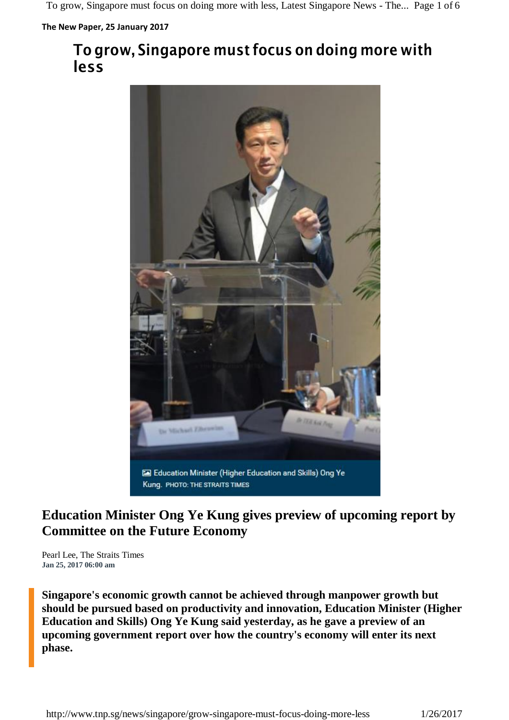**The New Paper, 25 January 2017**

## **To grow, Singapore must focus on doing more with less**



## **Education Minister Ong Ye Kung gives preview of upcoming report by Committee on the Future Economy**

Pearl Lee, The Straits Times **Jan 25, 2017 06:00 am**

**Singapore's economic growth cannot be achieved through manpower growth but should be pursued based on productivity and innovation, Education Minister (Higher Education and Skills) Ong Ye Kung said yesterday, as he gave a preview of an upcoming government report over how the country's economy will enter its next phase.**